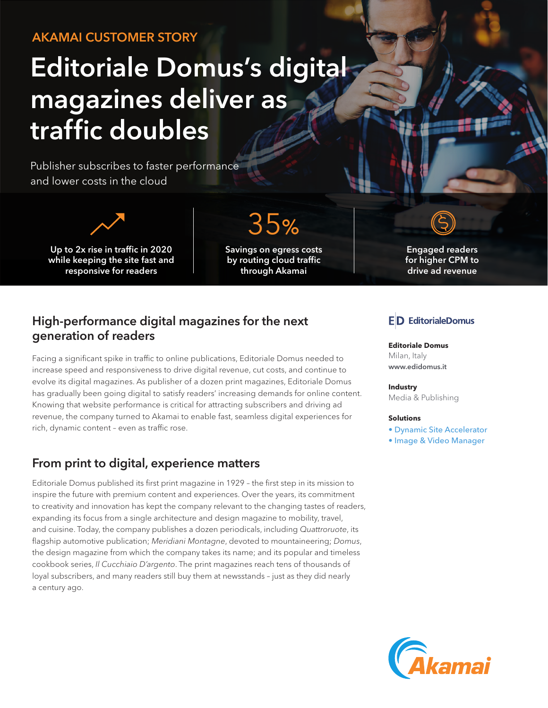# AKAMAI CUSTOMER STORY

# Editoriale Domus's digital magazines deliver as traffic doubles

Publisher subscribes to faster performance and lower costs in the cloud



Up to 2x rise in traffic in 2020 while keeping the site fast and responsive for readers

35%

Savings on egress costs by routing cloud traffic through Akamai



Engaged readers for higher CPM to drive ad revenue

#### High-performance digital magazines for the next generation of readers

Facing a significant spike in traffic to online publications, Editoriale Domus needed to increase speed and responsiveness to drive digital revenue, cut costs, and continue to evolve its digital magazines. As publisher of a dozen print magazines, Editoriale Domus has gradually been going digital to satisfy readers' increasing demands for online content. Knowing that website performance is critical for attracting subscribers and driving ad revenue, the company turned to Akamai to enable fast, seamless digital experiences for rich, dynamic content – even as traffic rose.

### From print to digital, experience matters

Editoriale Domus published its first print magazine in 1929 – the first step in its mission to inspire the future with premium content and experiences. Over the years, its commitment to creativity and innovation has kept the company relevant to the changing tastes of readers, expanding its focus from a single architecture and design magazine to mobility, travel, and cuisine. Today, the company publishes a dozen periodicals, including *Quattroruote*, its flagship automotive publication; *Meridiani Montagne*, devoted to mountaineering; *Domus*, the design magazine from which the company takes its name; and its popular and timeless cookbook series, *Il Cucchiaio D'argento*. The print magazines reach tens of thousands of loyal subscribers, and many readers still buy them at newsstands – just as they did nearly a century ago.

#### **ED** EditorialeDomus

**Editoriale Domus** Milan, Italy [www.edidomus.it](https://www.edidomus.it)

**Industry** Media & Publishing

#### **Solutions**

- [Dynamic Site Accelerator](https://www.akamai.com/us/en/products/performance/dynamic-site-accelerator.jsp)
- [Image & Video Manager](https://www.akamai.com/us/en/products/performance/image-and-video-manager.jsp)

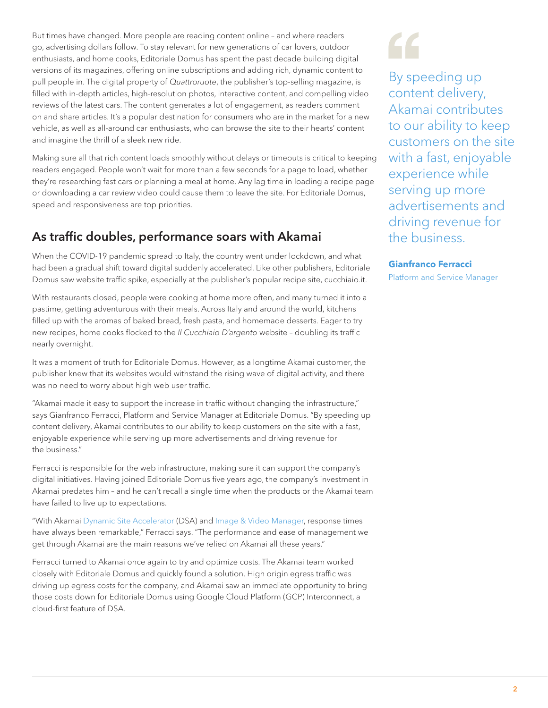But times have changed. More people are reading content online – and where readers go, advertising dollars follow. To stay relevant for new generations of car lovers, outdoor enthusiasts, and home cooks, Editoriale Domus has spent the past decade building digital versions of its magazines, offering online subscriptions and adding rich, dynamic content to pull people in. The digital property of *Quattroruote*, the publisher's top-selling magazine, is filled with in-depth articles, high-resolution photos, interactive content, and compelling video reviews of the latest cars. The content generates a lot of engagement, as readers comment on and share articles. It's a popular destination for consumers who are in the market for a new vehicle, as well as all-around car enthusiasts, who can browse the site to their hearts' content and imagine the thrill of a sleek new ride.

Making sure all that rich content loads smoothly without delays or timeouts is critical to keeping readers engaged. People won't wait for more than a few seconds for a page to load, whether they're researching fast cars or planning a meal at home. Any lag time in loading a recipe page or downloading a car review video could cause them to leave the site. For Editoriale Domus, speed and responsiveness are top priorities.

# As traffic doubles, performance soars with Akamai

When the COVID-19 pandemic spread to Italy, the country went under lockdown, and what had been a gradual shift toward digital suddenly accelerated. Like other publishers, Editoriale Domus saw website traffic spike, especially at the publisher's popular recipe site, cucchiaio.it.

With restaurants closed, people were cooking at home more often, and many turned it into a pastime, getting adventurous with their meals. Across Italy and around the world, kitchens filled up with the aromas of baked bread, fresh pasta, and homemade desserts. Eager to try new recipes, home cooks flocked to the *Il Cucchiaio D'argento* website – doubling its traffic nearly overnight.

It was a moment of truth for Editoriale Domus. However, as a longtime Akamai customer, the publisher knew that its websites would withstand the rising wave of digital activity, and there was no need to worry about high web user traffic.

"Akamai made it easy to support the increase in traffic without changing the infrastructure," says Gianfranco Ferracci, Platform and Service Manager at Editoriale Domus. "By speeding up content delivery, Akamai contributes to our ability to keep customers on the site with a fast, enjoyable experience while serving up more advertisements and driving revenue for the business."

Ferracci is responsible for the web infrastructure, making sure it can support the company's digital initiatives. Having joined Editoriale Domus five years ago, the company's investment in Akamai predates him – and he can't recall a single time when the products or the Akamai team have failed to live up to expectations.

"With Akamai [Dynamic Site Accelerator](https://www.akamai.com/us/en/products/performance/dynamic-site-accelerator.jsp) (DSA) and [Image & Video Manager](https://www.akamai.com/us/en/products/performance/image-and-video-manager.jsp), response times have always been remarkable," Ferracci says. "The performance and ease of management we get through Akamai are the main reasons we've relied on Akamai all these years."

Ferracci turned to Akamai once again to try and optimize costs. The Akamai team worked closely with Editoriale Domus and quickly found a solution. High origin egress traffic was driving up egress costs for the company, and Akamai saw an immediate opportunity to bring those costs down for Editoriale Domus using Google Cloud Platform (GCP) Interconnect, a cloud-first feature of DSA.

By speeding up content delivery, Akamai contributes to our ability to keep customers on the site with a fast, enjoyable experience while serving up more advertisements and driving revenue for the business.

#### **Gianfranco Ferracci**

Platform and Service Manager